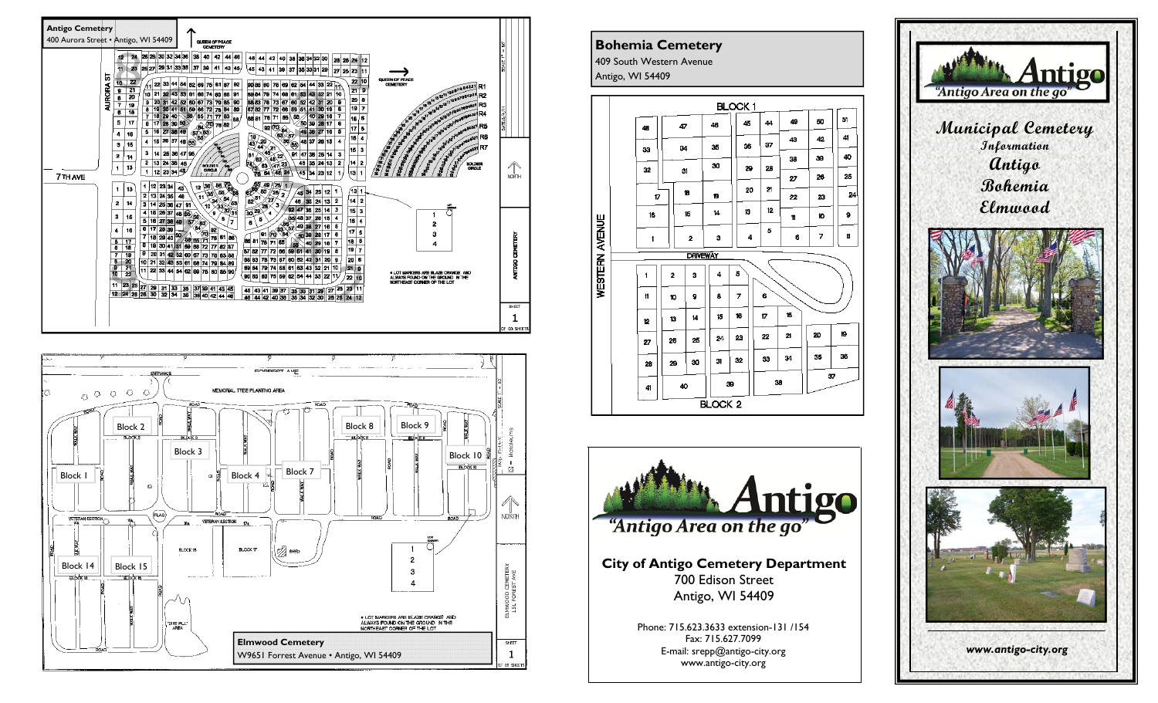







www.antigo-city.org